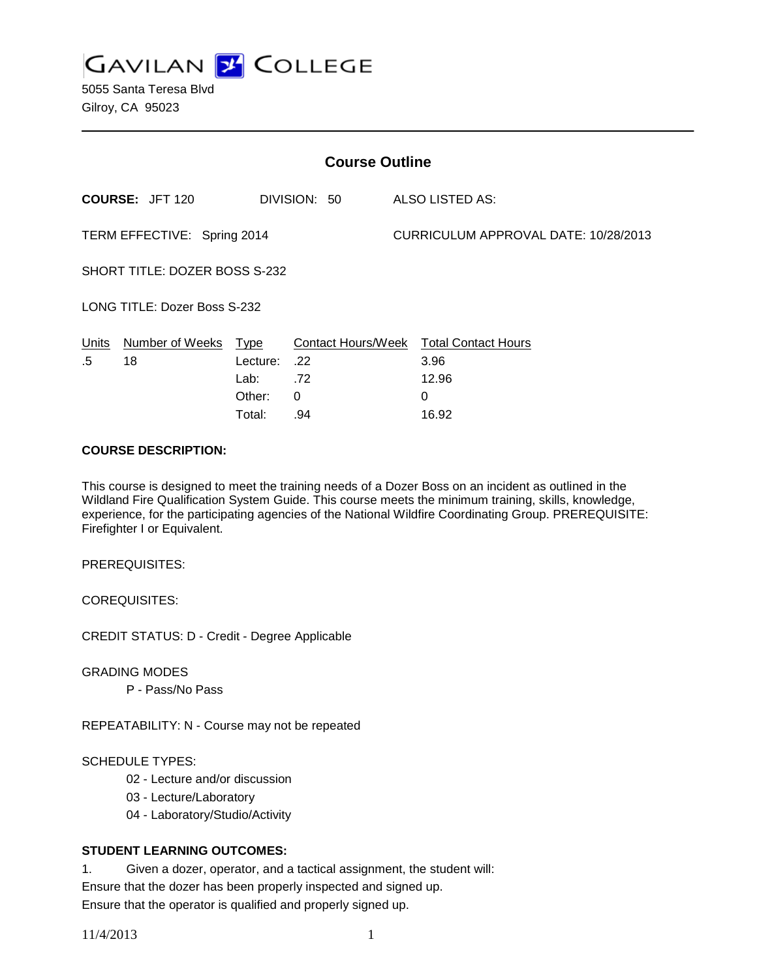**GAVILAN J COLLEGE** 

| <b>Course Outline</b>         |                        |                                              |                                                     |  |                                                                  |  |
|-------------------------------|------------------------|----------------------------------------------|-----------------------------------------------------|--|------------------------------------------------------------------|--|
|                               | <b>COURSE: JFT 120</b> |                                              | DIVISION: 50                                        |  | ALSO LISTED AS:                                                  |  |
| TERM EFFECTIVE: Spring 2014   |                        |                                              |                                                     |  | CURRICULUM APPROVAL DATE: 10/28/2013                             |  |
| SHORT TITLE: DOZER BOSS S-232 |                        |                                              |                                                     |  |                                                                  |  |
| LONG TITLE: Dozer Boss S-232  |                        |                                              |                                                     |  |                                                                  |  |
| Units<br>.5                   | Number of Weeks<br>18  | Type<br>Lecture:<br>Lab:<br>Other:<br>Total: | <b>Contact Hours/Week</b><br>.22<br>.72<br>0<br>.94 |  | <b>Total Contact Hours</b><br>3.96<br>12.96<br>$\Omega$<br>16.92 |  |

#### **COURSE DESCRIPTION:**

This course is designed to meet the training needs of a Dozer Boss on an incident as outlined in the Wildland Fire Qualification System Guide. This course meets the minimum training, skills, knowledge, experience, for the participating agencies of the National Wildfire Coordinating Group. PREREQUISITE: Firefighter I or Equivalent.

PREREQUISITES:

COREQUISITES:

CREDIT STATUS: D - Credit - Degree Applicable

GRADING MODES

P - Pass/No Pass

REPEATABILITY: N - Course may not be repeated

# SCHEDULE TYPES:

- 02 Lecture and/or discussion
- 03 Lecture/Laboratory
- 04 Laboratory/Studio/Activity

# **STUDENT LEARNING OUTCOMES:**

1. Given a dozer, operator, and a tactical assignment, the student will: Ensure that the dozer has been properly inspected and signed up. Ensure that the operator is qualified and properly signed up.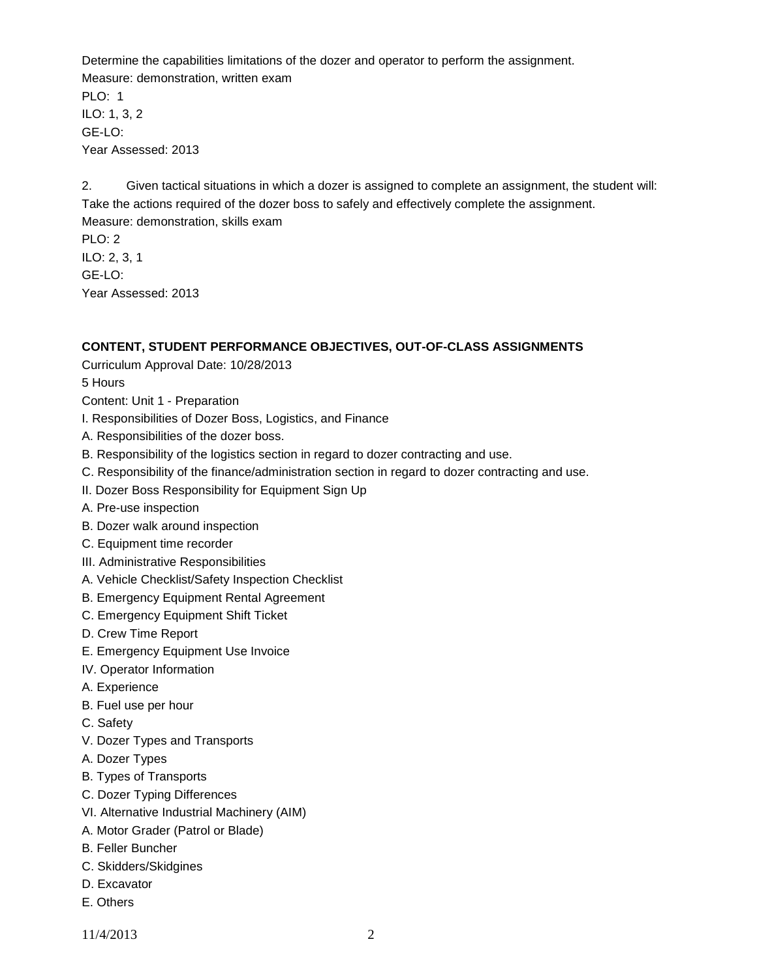Determine the capabilities limitations of the dozer and operator to perform the assignment. Measure: demonstration, written exam

PLO: 1 ILO: 1, 3, 2 GE-LO: Year Assessed: 2013

2. Given tactical situations in which a dozer is assigned to complete an assignment, the student will: Take the actions required of the dozer boss to safely and effectively complete the assignment. Measure: demonstration, skills exam PLO: 2

ILO: 2, 3, 1 GE-LO: Year Assessed: 2013

# **CONTENT, STUDENT PERFORMANCE OBJECTIVES, OUT-OF-CLASS ASSIGNMENTS**

- Curriculum Approval Date: 10/28/2013
- 5 Hours
- Content: Unit 1 Preparation
- I. Responsibilities of Dozer Boss, Logistics, and Finance
- A. Responsibilities of the dozer boss.
- B. Responsibility of the logistics section in regard to dozer contracting and use.
- C. Responsibility of the finance/administration section in regard to dozer contracting and use.
- II. Dozer Boss Responsibility for Equipment Sign Up
- A. Pre-use inspection
- B. Dozer walk around inspection
- C. Equipment time recorder
- III. Administrative Responsibilities
- A. Vehicle Checklist/Safety Inspection Checklist
- B. Emergency Equipment Rental Agreement
- C. Emergency Equipment Shift Ticket
- D. Crew Time Report
- E. Emergency Equipment Use Invoice
- IV. Operator Information
- A. Experience
- B. Fuel use per hour
- C. Safety
- V. Dozer Types and Transports
- A. Dozer Types
- B. Types of Transports
- C. Dozer Typing Differences
- VI. Alternative Industrial Machinery (AIM)
- A. Motor Grader (Patrol or Blade)
- B. Feller Buncher
- C. Skidders/Skidgines
- D. Excavator
- E. Others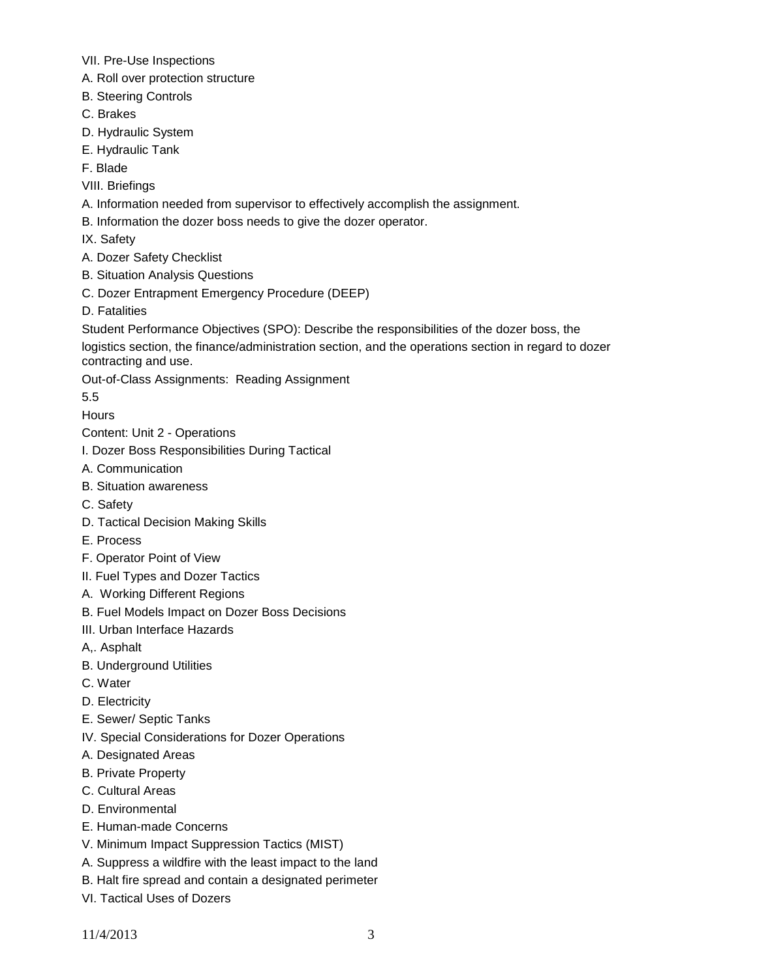- VII. Pre-Use Inspections
- A. Roll over protection structure
- B. Steering Controls
- C. Brakes
- D. Hydraulic System
- E. Hydraulic Tank
- F. Blade
- VIII. Briefings
- A. Information needed from supervisor to effectively accomplish the assignment.
- B. Information the dozer boss needs to give the dozer operator.
- IX. Safety
- A. Dozer Safety Checklist
- B. Situation Analysis Questions
- C. Dozer Entrapment Emergency Procedure (DEEP)
- D. Fatalities

Student Performance Objectives (SPO): Describe the responsibilities of the dozer boss, the logistics section, the finance/administration section, and the operations section in regard to dozer contracting and use.

Out-of-Class Assignments: Reading Assignment

5.5

**Hours** 

- Content: Unit 2 Operations
- I. Dozer Boss Responsibilities During Tactical
- A. Communication
- B. Situation awareness
- C. Safety
- D. Tactical Decision Making Skills
- E. Process
- F. Operator Point of View
- II. Fuel Types and Dozer Tactics
- A. Working Different Regions
- B. Fuel Models Impact on Dozer Boss Decisions
- III. Urban Interface Hazards
- A,. Asphalt
- B. Underground Utilities
- C. Water
- D. Electricity
- E. Sewer/ Septic Tanks
- IV. Special Considerations for Dozer Operations
- A. Designated Areas
- B. Private Property
- C. Cultural Areas
- D. Environmental
- E. Human-made Concerns
- V. Minimum Impact Suppression Tactics (MIST)
- A. Suppress a wildfire with the least impact to the land
- B. Halt fire spread and contain a designated perimeter
- VI. Tactical Uses of Dozers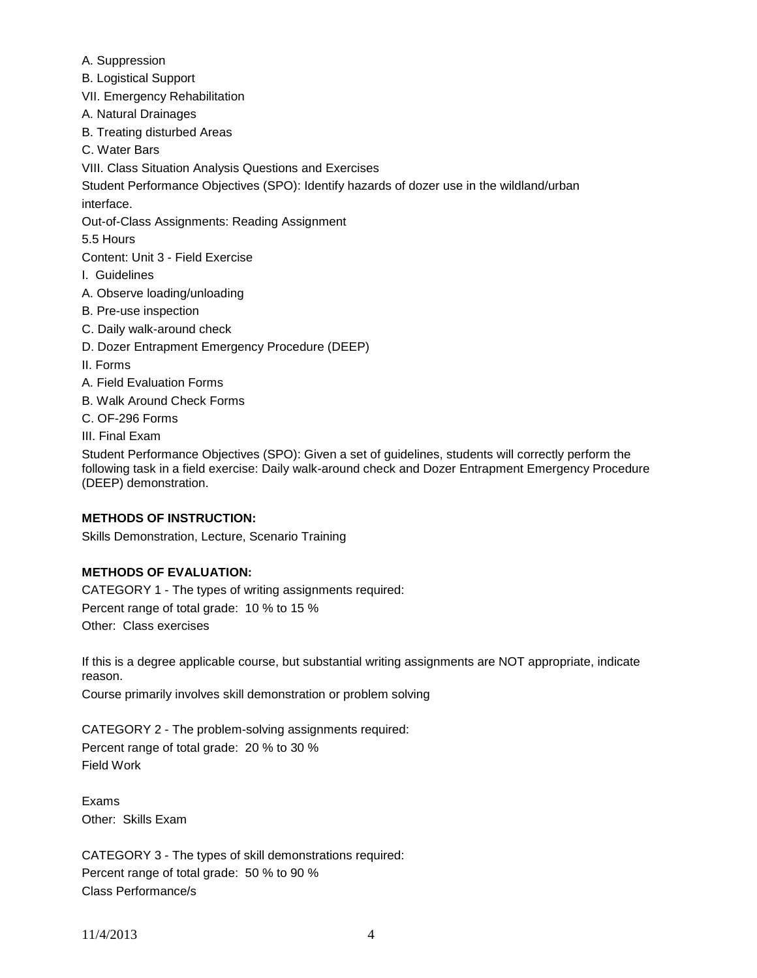- A. Suppression
- B. Logistical Support
- VII. Emergency Rehabilitation
- A. Natural Drainages
- B. Treating disturbed Areas
- C. Water Bars
- VIII. Class Situation Analysis Questions and Exercises

Student Performance Objectives (SPO): Identify hazards of dozer use in the wildland/urban

interface.

Out-of-Class Assignments: Reading Assignment

5.5 Hours

Content: Unit 3 - Field Exercise

- I. Guidelines
- A. Observe loading/unloading
- B. Pre-use inspection
- C. Daily walk-around check
- D. Dozer Entrapment Emergency Procedure (DEEP)
- II. Forms
- A. Field Evaluation Forms
- B. Walk Around Check Forms
- C. OF-296 Forms
- III. Final Exam

Student Performance Objectives (SPO): Given a set of guidelines, students will correctly perform the following task in a field exercise: Daily walk-around check and Dozer Entrapment Emergency Procedure (DEEP) demonstration.

# **METHODS OF INSTRUCTION:**

Skills Demonstration, Lecture, Scenario Training

# **METHODS OF EVALUATION:**

CATEGORY 1 - The types of writing assignments required: Percent range of total grade: 10 % to 15 % Other: Class exercises

If this is a degree applicable course, but substantial writing assignments are NOT appropriate, indicate reason.

Course primarily involves skill demonstration or problem solving

CATEGORY 2 - The problem-solving assignments required: Percent range of total grade: 20 % to 30 % Field Work

Exams Other: Skills Exam

CATEGORY 3 - The types of skill demonstrations required: Percent range of total grade: 50 % to 90 % Class Performance/s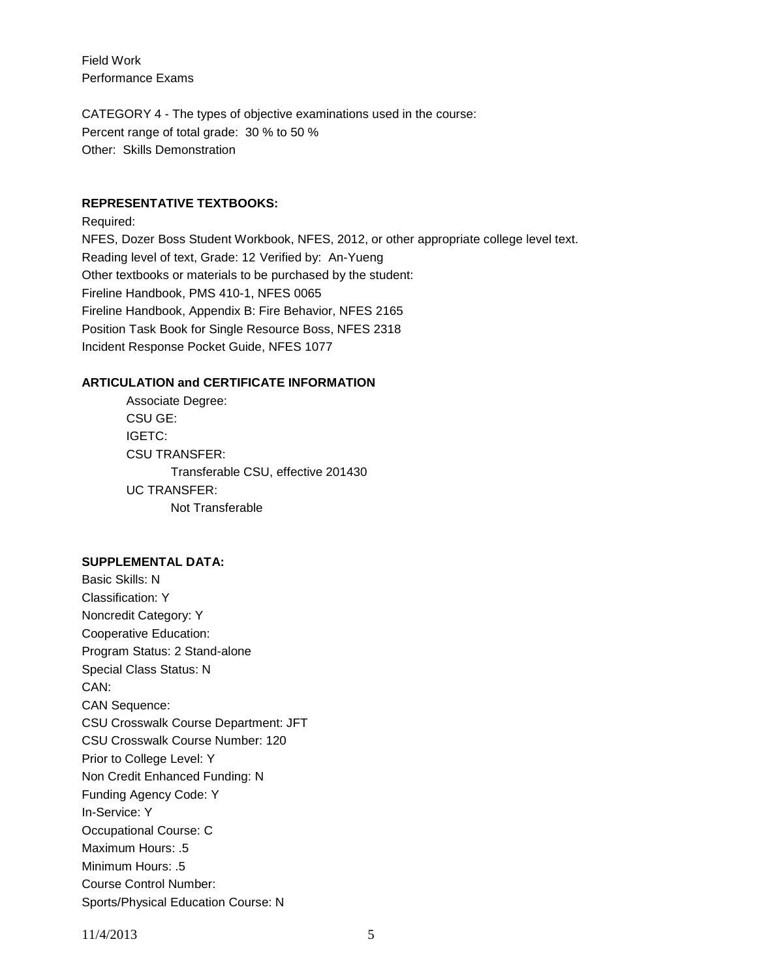Field Work Performance Exams

CATEGORY 4 - The types of objective examinations used in the course: Percent range of total grade: 30 % to 50 % Other: Skills Demonstration

#### **REPRESENTATIVE TEXTBOOKS:**

Required: NFES, Dozer Boss Student Workbook, NFES, 2012, or other appropriate college level text. Reading level of text, Grade: 12 Verified by: An-Yueng Other textbooks or materials to be purchased by the student: Fireline Handbook, PMS 410-1, NFES 0065 Fireline Handbook, Appendix B: Fire Behavior, NFES 2165 Position Task Book for Single Resource Boss, NFES 2318 Incident Response Pocket Guide, NFES 1077

# **ARTICULATION and CERTIFICATE INFORMATION**

Associate Degree: CSU GE: IGETC: CSU TRANSFER: Transferable CSU, effective 201430 UC TRANSFER: Not Transferable

# **SUPPLEMENTAL DATA:**

Basic Skills: N Classification: Y Noncredit Category: Y Cooperative Education: Program Status: 2 Stand-alone Special Class Status: N CAN: CAN Sequence: CSU Crosswalk Course Department: JFT CSU Crosswalk Course Number: 120 Prior to College Level: Y Non Credit Enhanced Funding: N Funding Agency Code: Y In-Service: Y Occupational Course: C Maximum Hours: .5 Minimum Hours: .5 Course Control Number: Sports/Physical Education Course: N